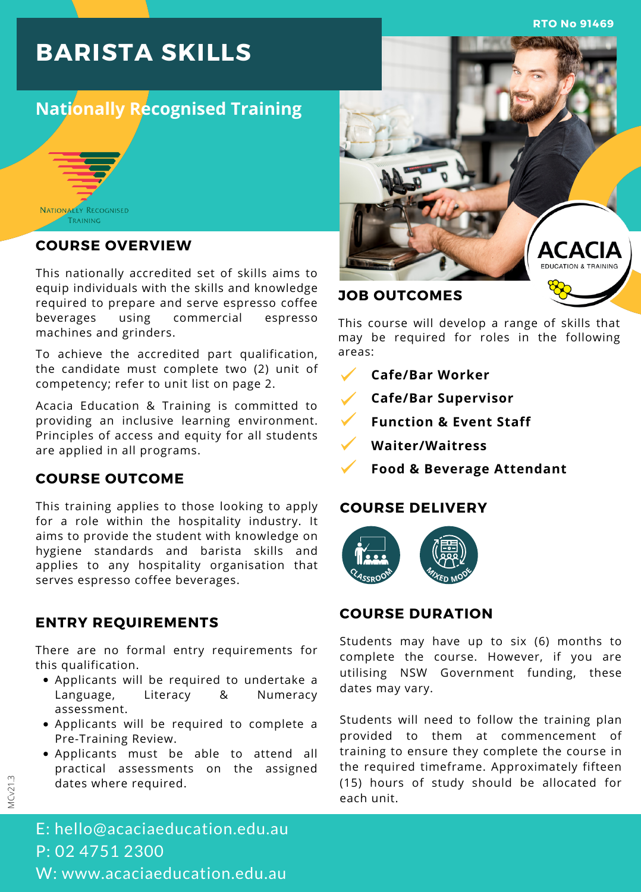**RTO No 91469**

# **BARISTA SKILLS**

# **Nationally Recognised Training**



### **COURSE OVERVIEW**

This nationally accredited set of skills aims to equip individuals with the skills and knowledge required to prepare and serve espresso coffee beverages using commercial espresso machines and grinders.

To achieve the accredited part qualification, the candidate must complete two (2) unit of competency; refer to unit list on page 2.

Acacia Education & Training is committed to providing an inclusive learning environment. Principles of access and equity for all students are applied in all programs.

### **COURSE OUTCOME**

This training applies to those looking to apply for a role within the hospitality industry. It aims to provide the student with knowledge on hygiene standards and barista skills and applies to any hospitality organisation that serves espresso coffee beverages.

### **ENTRY REQUIREMENTS**

There are no formal entry requirements for this qualification.

- Applicants will be required to undertake a Language, Literacy & Numeracy assessment.
- Applicants will be required to complete a Pre-Training Review.
- Applicants must be able to attend all practical assessments on the assigned dates where required.



This course will develop a range of skills that may be required for roles in the following areas:

- **Cafe/Bar Worker**
- **Cafe/Bar Supervisor**
- **Function & Event Staff**
- **Waiter/Waitress**
	- **Food & Beverage Attendant**

### **COURSE DELIVERY**



# **COURSE DURATION**

Students may have up to six (6) months to complete the course. However, if you are utilising NSW Government funding, these dates may vary.

Students will need to follow the training plan provided to them at commencement of training to ensure they complete the course in the required timeframe. Approximately fifteen (15) hours of study should be allocated for each unit.

MCv21.3

E: hello@acaciaeducation.edu.au P: 02 4751 2300 W: www.acaciaeducation.edu.au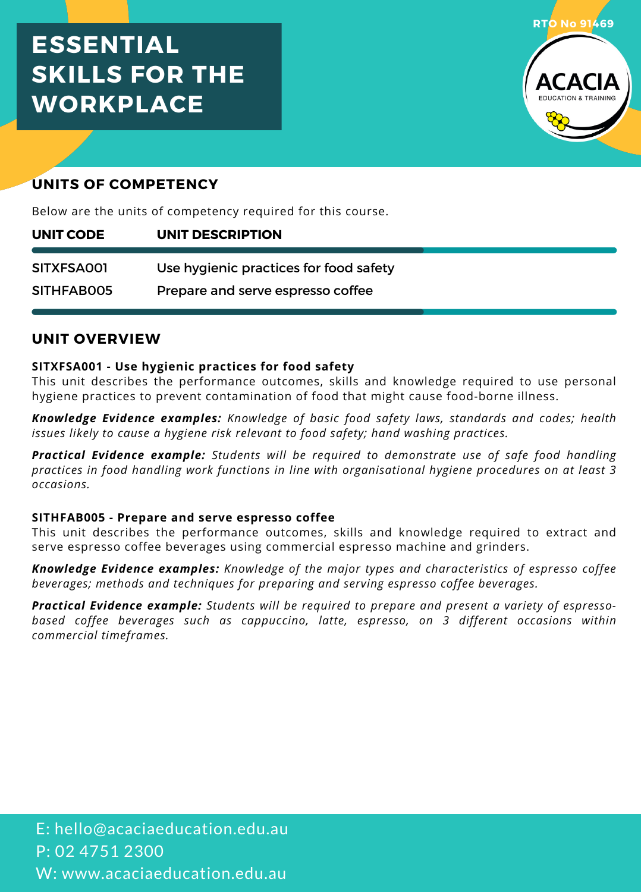# **ESSENTIAL SKILLS FOR THE WORKPLACE**



# **UNITS OF COMPETENCY**

Below are the units of competency required for this course.

| UNIT CODE  | UNIT DESCRIPTION                       |
|------------|----------------------------------------|
|            |                                        |
| SITXFSA001 | Use hygienic practices for food safety |
| SITHFABOO5 | Prepare and serve espresso coffee      |

# **UNIT OVERVIEW**

### **SITXFSA001 - Use hygienic practices for food safety**

This unit describes the performance outcomes, skills and knowledge required to use personal hygiene practices to prevent contamination of food that might cause food-borne illness.

*Knowledge Evidence examples: Knowledge of basic food safety laws, standards and codes; health issues likely to cause a hygiene risk relevant to food safety; hand washing practices.*

*Practical Evidence example: Students will be required to demonstrate use of safe food handling practices in food handling work functions in line with organisational hygiene procedures on at least 3 occasions.*

### **SITHFAB005 - Prepare and serve espresso coffee**

This unit describes the performance outcomes, skills and knowledge required to extract and serve espresso coffee beverages using commercial espresso machine and grinders.

*Knowledge Evidence examples: Knowledge of the major types and characteristics of espresso coffee beverages; methods and techniques for preparing and serving espresso coffee beverages.*

*Practical Evidence example: Students will be required to prepare and present a variety of espresso based coffee beverages such as cappuccino, latte, espresso, on 3 different occasions within commercial timeframes.*